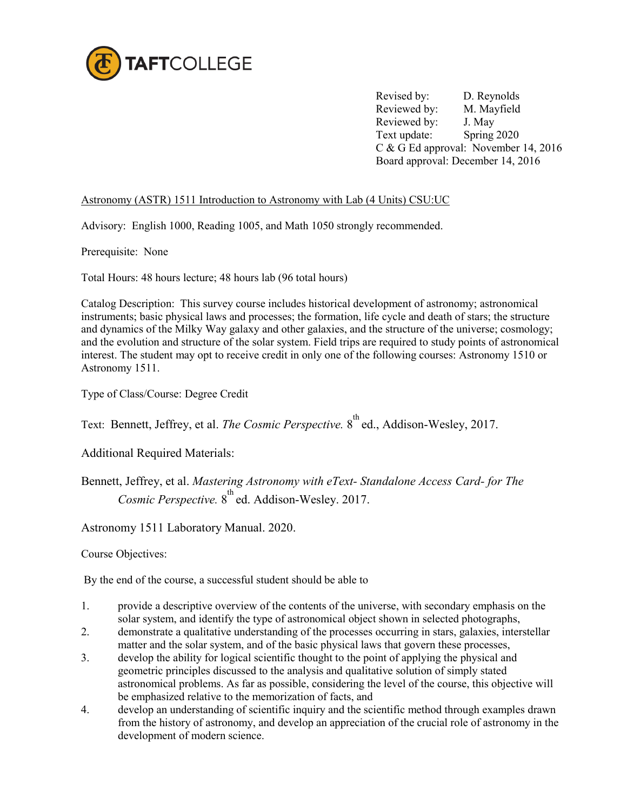

Revised by: D. Reynolds Reviewed by: M. Mayfield Reviewed by: J. May Text update: Spring 2020 C & G Ed approval: November 14, 2016 Board approval: December 14, 2016

## Astronomy (ASTR) 1511 Introduction to Astronomy with Lab (4 Units) CSU:UC

Advisory: English 1000, Reading 1005, and Math 1050 strongly recommended.

Prerequisite: None

Total Hours: 48 hours lecture; 48 hours lab (96 total hours)

Catalog Description: This survey course includes historical development of astronomy; astronomical instruments; basic physical laws and processes; the formation, life cycle and death of stars; the structure and dynamics of the Milky Way galaxy and other galaxies, and the structure of the universe; cosmology; and the evolution and structure of the solar system. Field trips are required to study points of astronomical interest. The student may opt to receive credit in only one of the following courses: Astronomy 1510 or Astronomy 1511.

Type of Class/Course: Degree Credit

Text: Bennett, Jeffrey, et al. *The Cosmic Perspective*. 8<sup>th</sup> ed., Addison-Wesley, 2017.

Additional Required Materials:

Bennett, Jeffrey, et al. *Mastering Astronomy with eText- Standalone Access Card- for The*  Cosmic Perspective. 8<sup>th</sup> ed. Addison-Wesley. 2017.

Astronomy 1511 Laboratory Manual. 2020.

Course Objectives:

By the end of the course, a successful student should be able to

- 1. provide a descriptive overview of the contents of the universe, with secondary emphasis on the solar system, and identify the type of astronomical object shown in selected photographs,
- 2. demonstrate a qualitative understanding of the processes occurring in stars, galaxies, interstellar matter and the solar system, and of the basic physical laws that govern these processes,
- 3. develop the ability for logical scientific thought to the point of applying the physical and geometric principles discussed to the analysis and qualitative solution of simply stated astronomical problems. As far as possible, considering the level of the course, this objective will be emphasized relative to the memorization of facts, and
- 4. develop an understanding of scientific inquiry and the scientific method through examples drawn from the history of astronomy, and develop an appreciation of the crucial role of astronomy in the development of modern science.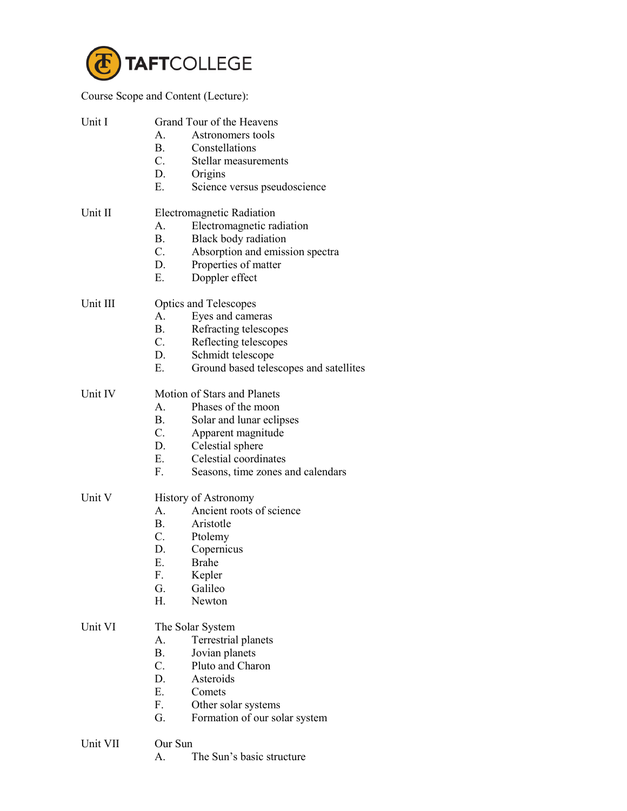

Course Scope and Content (Lecture):

| Unit I   | Grand Tour of the Heavens<br>$A_{-}$<br>Astronomers tools<br>Constellations<br>$\mathbf{B}$ .<br>$C_{\cdot}$<br>Stellar measurements<br>D.<br>Origins<br>Е.<br>Science versus pseudoscience                                                         |
|----------|-----------------------------------------------------------------------------------------------------------------------------------------------------------------------------------------------------------------------------------------------------|
| Unit II  | Electromagnetic Radiation<br>A.<br>Electromagnetic radiation<br>B.<br><b>Black body radiation</b><br>C.<br>Absorption and emission spectra<br>Properties of matter<br>D.<br>Doppler effect<br>E.                                                    |
| Unit III | <b>Optics and Telescopes</b><br>Eyes and cameras<br>$A_{-}$<br><b>B</b> .<br>Refracting telescopes<br>$C_{\cdot}$<br>Reflecting telescopes<br>D.<br>Schmidt telescope<br>Е.<br>Ground based telescopes and satellites                               |
| Unit IV  | Motion of Stars and Planets<br>$\mathbf{A}$<br>Phases of the moon<br><b>B.</b><br>Solar and lunar eclipses<br>$C_{\cdot}$<br>Apparent magnitude<br>Celestial sphere<br>D.<br>Celestial coordinates<br>Е.<br>F.<br>Seasons, time zones and calendars |
| Unit V   | <b>History of Astronomy</b><br>Ancient roots of science<br>$A_{-}$<br><b>B</b> .<br>Aristotle<br>$C_{\cdot}$<br>Ptolemy<br>Copernicus<br>D.<br><b>Brahe</b><br>Е.<br>F.<br>Kepler<br>Galileo<br>G.<br>Н.<br>Newton                                  |
| Unit VI  | The Solar System<br>Terrestrial planets<br>A.<br>Β.<br>Jovian planets<br>$C_{\cdot}$<br>Pluto and Charon<br>Asteroids<br>D.<br>Е.<br>Comets<br>F.<br>Other solar systems<br>G.<br>Formation of our solar system                                     |
| Unit VII | Our Sun                                                                                                                                                                                                                                             |

A. The Sun's basic structure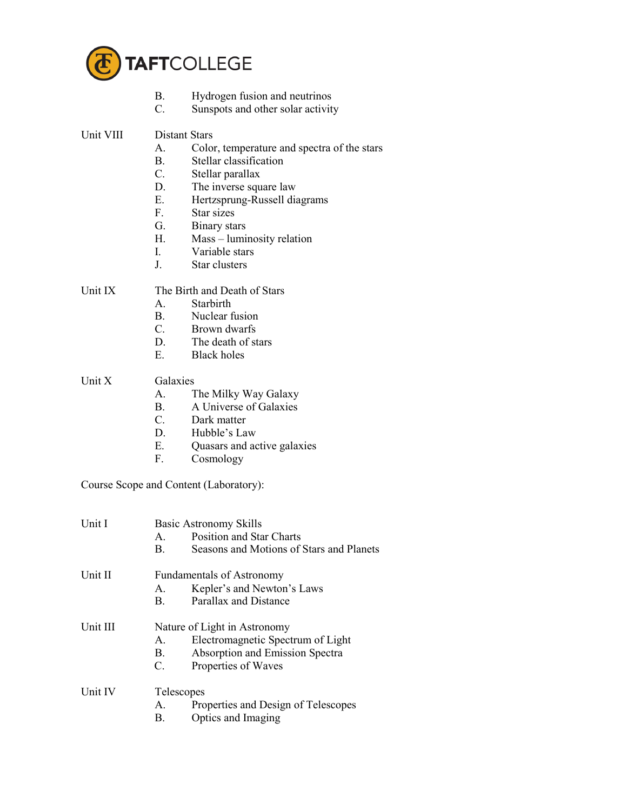

- B. Hydrogen fusion and neutrinos<br>C. Sunspots and other solar activity
- Sunspots and other solar activity

## Unit VIII Distant Stars

- A. Color, temperature and spectra of the stars<br>B. Stellar classification
- Stellar classification
- C. Stellar parallax
- D. The inverse square law
- E. Hertzsprung-Russell diagrams
- F. Star sizes
- G. Binary stars
- H. Mass luminosity relation
- I. Variable stars
- J. Star clusters

## Unit IX The Birth and Death of Stars

- A. Starbirth
- B. Nuclear fusion
- C. Brown dwarfs
- D. The death of stars
- E. Black holes

## Unit X Galaxies

- A. The Milky Way Galaxy
- B. A Universe of Galaxies
- C. Dark matter
- D. Hubble's Law
- E. Quasars and active galaxies<br>F. Cosmology
- Cosmology

Course Scope and Content (Laboratory):

| <b>Unit I</b> | $A_{-}$<br>B.                            | <b>Basic Astronomy Skills</b><br><b>Position and Star Charts</b><br>Seasons and Motions of Stars and Planets                |
|---------------|------------------------------------------|-----------------------------------------------------------------------------------------------------------------------------|
| Unit II       | A.<br>$\mathbf{B}$                       | <b>Fundamentals of Astronomy</b><br>Kepler's and Newton's Laws<br>Parallax and Distance                                     |
| Unit III      | $A_{\cdot}$<br><b>B</b> .<br>$C_{\cdot}$ | Nature of Light in Astronomy<br>Electromagnetic Spectrum of Light<br>Absorption and Emission Spectra<br>Properties of Waves |
| Unit IV       | Telescopes<br>A.<br>B.                   | Properties and Design of Telescopes<br>Optics and Imaging                                                                   |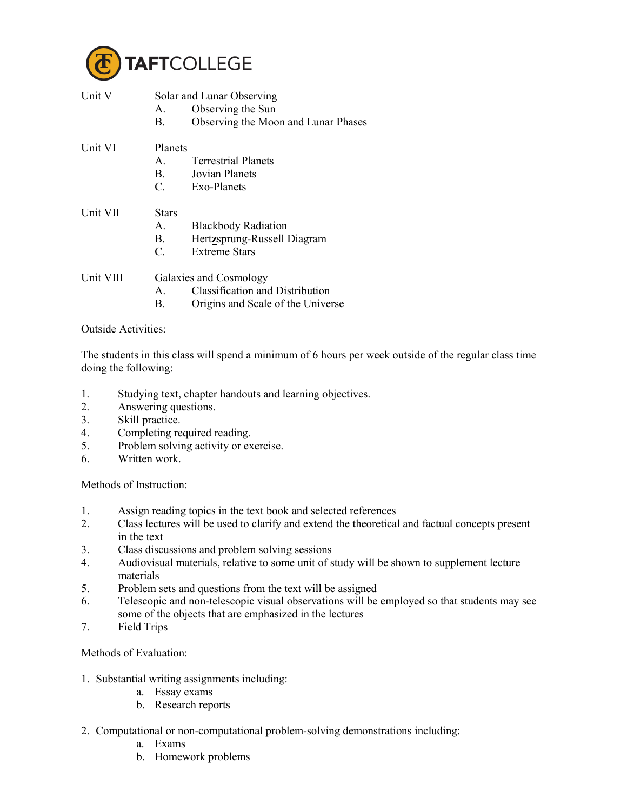

| Unit V    | А.<br>В.                                             | Solar and Lunar Observing<br>Observing the Sun<br>Observing the Moon and Lunar Phases                 |
|-----------|------------------------------------------------------|-------------------------------------------------------------------------------------------------------|
| Unit VI   | Planets<br>$\mathsf{A}$<br>$\mathbf{B}$ .<br>$C_{-}$ | <b>Terrestrial Planets</b><br>Jovian Planets<br>Exo-Planets                                           |
| Unit VII  | Stars<br>$A_{-}$<br>B.<br>$\mathcal{C}$              | <b>Blackbody Radiation</b><br>Hertzsprung-Russell Diagram<br><b>Extreme Stars</b>                     |
| Unit VIII | $A_{-}$<br>В.                                        | Galaxies and Cosmology<br><b>Classification and Distribution</b><br>Origins and Scale of the Universe |

Outside Activities:

The students in this class will spend a minimum of 6 hours per week outside of the regular class time doing the following:

- 1. Studying text, chapter handouts and learning objectives.
- 2. Answering questions.
- 3. Skill practice.
- 4. Completing required reading.<br>5. Problem solving activity or ex-
- Problem solving activity or exercise.
- 6. Written work.

Methods of Instruction:

- 1. Assign reading topics in the text book and selected references
- 2. Class lectures will be used to clarify and extend the theoretical and factual concepts present in the text
- 3. Class discussions and problem solving sessions
- 4. Audiovisual materials, relative to some unit of study will be shown to supplement lecture materials
- 5. Problem sets and questions from the text will be assigned
- 6. Telescopic and non-telescopic visual observations will be employed so that students may see some of the objects that are emphasized in the lectures
- 7. Field Trips

Methods of Evaluation:

- 1. Substantial writing assignments including:
	- a. Essay exams
	- b. Research reports
- 2. Computational or non-computational problem-solving demonstrations including:
	- a. Exams
	- b. Homework problems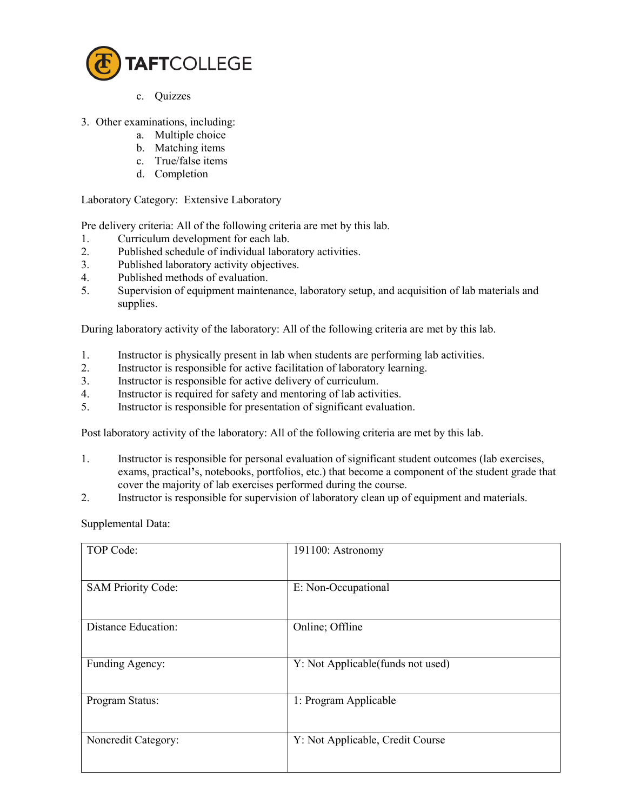

- c. Quizzes
- 3. Other examinations, including:
	- a. Multiple choice
	- b. Matching items
	- c. True/false items
	- d. Completion

Laboratory Category: Extensive Laboratory

Pre delivery criteria: All of the following criteria are met by this lab.

- 1. Curriculum development for each lab.<br>2. Published schedule of individual labor.
- Published schedule of individual laboratory activities.
- 3. Published laboratory activity objectives.
- 4. Published methods of evaluation.
- 5. Supervision of equipment maintenance, laboratory setup, and acquisition of lab materials and supplies.

During laboratory activity of the laboratory: All of the following criteria are met by this lab.

- 1. Instructor is physically present in lab when students are performing lab activities.<br>2. Instructor is responsible for active facilitation of laboratory learning.
- Instructor is responsible for active facilitation of laboratory learning.
- 3. Instructor is responsible for active delivery of curriculum.
- 4. Instructor is required for safety and mentoring of lab activities.
- 5. Instructor is responsible for presentation of significant evaluation.

Post laboratory activity of the laboratory: All of the following criteria are met by this lab.

- 1. Instructor is responsible for personal evaluation of significant student outcomes (lab exercises, exams, practical**'**s, notebooks, portfolios, etc.) that become a component of the student grade that cover the majority of lab exercises performed during the course.
- 2. Instructor is responsible for supervision of laboratory clean up of equipment and materials.

Supplemental Data:

| TOP Code:                  | 191100: Astronomy                  |
|----------------------------|------------------------------------|
| <b>SAM Priority Code:</b>  | E: Non-Occupational                |
| <b>Distance Education:</b> | Online; Offline                    |
| Funding Agency:            | Y: Not Applicable (funds not used) |
| Program Status:            | 1: Program Applicable              |
| Noncredit Category:        | Y: Not Applicable, Credit Course   |